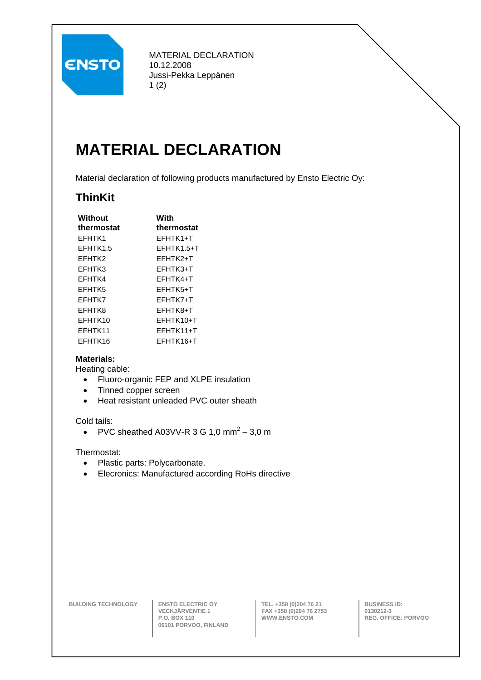

MATERIAL DECLARATION 10.12.2008 Jussi-Pekka Leppänen 1 (2)

# **MATERIAL DECLARATION**

Material declaration of following products manufactured by Ensto Electric Oy:

### **ThinKit**

| With                  |
|-----------------------|
| thermostat            |
| FFHTK1+T              |
| FFHTK1.5+T            |
| EFHTK <sub>2+</sub> T |
| EFHTK3+T              |
| EFHTK4+T              |
| EFHTK5+T              |
| EFHTK7+T              |
| EFHTK8+T              |
| FFHTK10+T             |
| FFHTK11+T             |
| FFHTK16+T             |
|                       |

### **Materials:**

Heating cable:

- Fluoro-organic FEP and XLPE insulation
- Tinned copper screen
- Heat resistant unleaded PVC outer sheath

#### Cold tails:

• PVC sheathed A03VV-R 3 G 1,0 mm<sup>2</sup>  $-$  3,0 m

Thermostat:

- Plastic parts: Polycarbonate.
- Elecronics: Manufactured according RoHs directive

**BUILDING TECHNOLOGY ENSTO ELECTRIC OY** 

**VECKJÄRVENTIE 1 P.O. BOX 110 06101 PORVOO, FINLAND**  **TEL. +358 (0)204 76 21 FAX +358 (0)204 76 2753 WWW.ENSTO.COM** 

**BUSINESS ID: 0130212-3 REG. OFFICE: PORVOO**